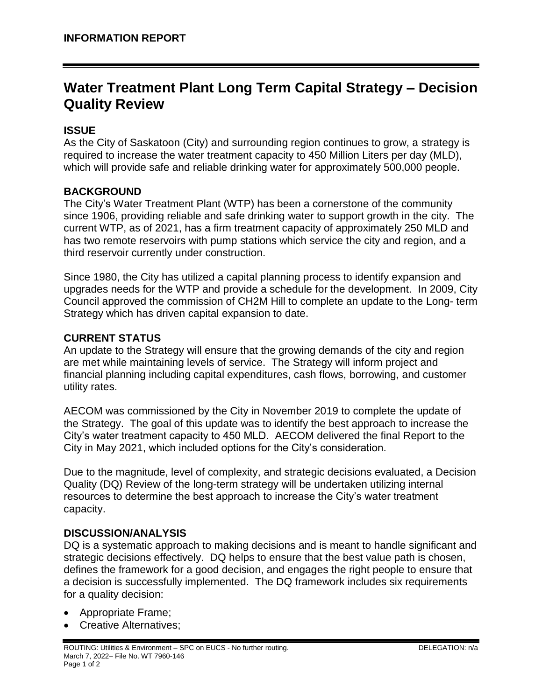# **Water Treatment Plant Long Term Capital Strategy – Decision Quality Review**

## **ISSUE**

As the City of Saskatoon (City) and surrounding region continues to grow, a strategy is required to increase the water treatment capacity to 450 Million Liters per day (MLD), which will provide safe and reliable drinking water for approximately 500,000 people.

### **BACKGROUND**

The City's Water Treatment Plant (WTP) has been a cornerstone of the community since 1906, providing reliable and safe drinking water to support growth in the city. The current WTP, as of 2021, has a firm treatment capacity of approximately 250 MLD and has two remote reservoirs with pump stations which service the city and region, and a third reservoir currently under construction.

Since 1980, the City has utilized a capital planning process to identify expansion and upgrades needs for the WTP and provide a schedule for the development. In 2009, City Council approved the commission of CH2M Hill to complete an update to the Long- term Strategy which has driven capital expansion to date.

### **CURRENT STATUS**

An update to the Strategy will ensure that the growing demands of the city and region are met while maintaining levels of service. The Strategy will inform project and financial planning including capital expenditures, cash flows, borrowing, and customer utility rates.

AECOM was commissioned by the City in November 2019 to complete the update of the Strategy. The goal of this update was to identify the best approach to increase the City's water treatment capacity to 450 MLD. AECOM delivered the final Report to the City in May 2021, which included options for the City's consideration.

Due to the magnitude, level of complexity, and strategic decisions evaluated, a Decision Quality (DQ) Review of the long-term strategy will be undertaken utilizing internal resources to determine the best approach to increase the City's water treatment capacity.

### **DISCUSSION/ANALYSIS**

DQ is a systematic approach to making decisions and is meant to handle significant and strategic decisions effectively. DQ helps to ensure that the best value path is chosen, defines the framework for a good decision, and engages the right people to ensure that a decision is successfully implemented. The DQ framework includes six requirements for a quality decision:

- Appropriate Frame;
- Creative Alternatives;